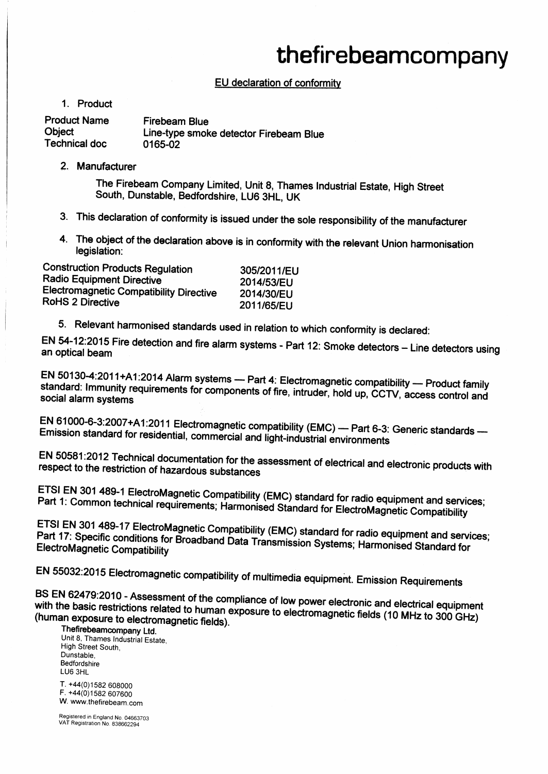## thefirebeamcompany

## EU declaration of conformity

1. Product

**Product Name Firebeam Blue Object** Line-type smoke detector Firebeam Blue **Technical doc** 0165-02

2. Manufacturer

The Firebeam Company Limited, Unit 8, Thames Industrial Estate, High Street South, Dunstable, Bedfordshire, LU6 3HL, UK

- 3. This declaration of conformity is issued under the sole responsibility of the manufacturer
- 4. The object of the declaration above is in conformity with the relevant Union harmonisation legislation:

| <b>Construction Products Regulation</b>        | 305/2011/EU |
|------------------------------------------------|-------------|
| <b>Radio Equipment Directive</b>               | 2014/53/EU  |
| <b>Electromagnetic Compatibility Directive</b> | 2014/30/EU  |
| RoHS 2 Directive                               | 2011/65/EU  |

5. Relevant harmonised standards used in relation to which conformity is declared:

EN 54-12:2015 Fire detection and fire alarm systems - Part 12: Smoke detectors - Line detectors using an optical beam

EN 50130-4:2011+A1:2014 Alarm systems - Part 4: Electromagnetic compatibility - Product family standard: Immunity requirements for components of fire, intruder, hold up, CCTV, access control and social alarm systems

EN 61000-6-3:2007+A1:2011 Electromagnetic compatibility (EMC) - Part 6-3: Generic standards -Emission standard for residential, commercial and light-industrial environments

EN 50581:2012 Technical documentation for the assessment of electrical and electronic products with respect to the restriction of hazardous substances

ETSI EN 301 489-1 ElectroMagnetic Compatibility (EMC) standard for radio equipment and services; Part 1: Common technical requirements; Harmonised Standard for ElectroMagnetic Compatibility

ETSI EN 301 489-17 ElectroMagnetic Compatibility (EMC) standard for radio equipment and services; Part 17: Specific conditions for Broadband Data Transmission Systems; Harmonised Standard for **ElectroMagnetic Compatibility** 

EN 55032:2015 Electromagnetic compatibility of multimedia equipment. Emission Requirements

BS EN 62479:2010 - Assessment of the compliance of low power electronic and electrical equipment with the basic restrictions related to human exposure to electromagnetic fields (10 MHz to 300 GHz) (human exposure to electromagnetic fields).

Thefirebeamcompany Ltd. Unit 8, Thames Industrial Estate, High Street South, Dunstable, Bedfordshire LU6 3HL

T. +44(0)1582 608000 F. +44(0)1582 607600 W. www.thefirebeam.com

Registered in England No. 04663703 VAT Registration No. 838662294